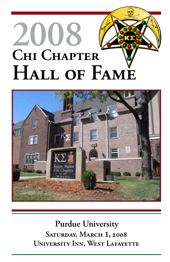# **2008 Chi Chapter Hall of Fame**



**Purdue University Saturday, March 1, 2008 University Inn, West Lafayette**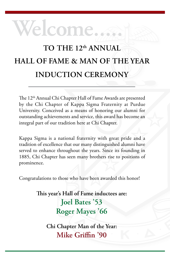# **welcome.....**

# **To the 12th annual Hall of fame & Man of the Year Induction ceremony**

The 12<sup>th</sup> Annual Chi Chapter Hall of Fame Awards are presented by the Chi Chapter of Kappa Sigma Fraternity at Purdue University. Conceived as a means of honoring our alumni for outstanding achievements and service, this award has become an integral part of our tradition here at Chi Chapter.

Kappa Sigma is a national fraternity with great pride and a tradition of excellence that our many distinguished alumni have served to enhance throughout the years. Since its founding in 1885, Chi Chapter has seen many brothers rise to positions of prominence.

Congratulations to those who have been awarded this honor!

**This year's Hall of Fame inductees are: Joel Bates '53 Roger Mayes '66** 

> **Chi Chapter Man of the Year: Mike Griffin '90**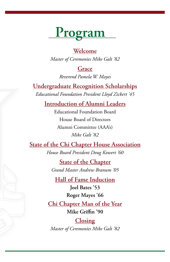# **Program**

#### **Welcome**

*Master of Ceremonies Mike Galt '82*

#### **Grace**

*Reverend Pamela W. Mayes*

**Undergraduate Recognition Scholarships** *Educational Foundation President Lloyd Zickert '45*

**Introduction of Alumni Leaders**

Educational Foundation Board House Board of Directors Alumni Committee (AAA's) *Mike Galt '82*

### **State of the Chi Chapter House Association**

*House Board President Doug Kowert '60*

**State of the Chapter** *Grand Master Andrew Branum '05*

**Hall of Fame Induction**

**Joel Bates '53 Roger Mayes '66**

**Chi Chapter Man of the Year Mike Griffin '90**

#### **Closing**

*Master of Ceremonies Mike Galt '82*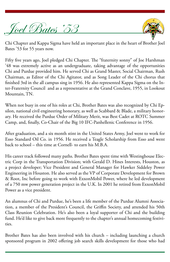



Chi Chapter and Kappa Sigma have held an important place in the heart of Brother Joel Bates '53 for 55 years now.

Fifty five years ago, Joel pledged Chi Chapter. The "fraternity sonny" of Joe Harshman '48 was extremely active as an undergraduate, taking advantage of the opportunities Chi and Purdue provided him. He served Chi as Grand Master, Social Chairman, Rush Chairman, as Editor of the Chi Agitator, and as Song Leader of the Chi chorus that finished 3rd in the all campus sing in 1956. He also represented Kappa Sigma on the Inter-Fraternity Council and as a representative at the Grand Conclave, 1955, in Lookout Mountain, TN.

When not busy in one of his roles at Chi, Brother Bates was also recognized by Chi Epsilon, national civil engineering honorary, as well as Scabbard & Blade, a military honorary. He received the Purdue Order of Military Merit, was Best Cadet at ROTC Summer Camp, and, finally, Co-Chair of the Big 10 IFC-Panhellenic Conference in 1956.

After graduation, and a six month stint in the United States Army, Joel went to work for Esso Standard Oil Co. in 1956. He received a Teagle Scholarship from Esso and went back to school – this time at Cornell- to earn his M.B.A.

His career track followed many paths. Brother Bates spent time with Westinghouse Electric Corp in the Transportation Division; with Gerald D. Hines Interests, Houston, as a project developer; Vice President and General Manager for Hawker Siddeley Power Engineering in Houston. He also served as the VP of Corporate Development for Brown & Root, Inc before going to work with ExxonMobil Power, where he led development of a 750 mw power generation project in the U.K. In 2001 he retired from ExxonMobil Power as a vice president.

An alumnus of Chi and Purdue, he's been a life member of the Purdue Alumni Association, a member of the President's Council, the Griffin Society, and attended his 50th Class Reunion Celebration. He's also been a loyal supporter of Chi and the building fund. He'd like to give back more frequently to the chapter's annual homecoming festivities.

Brother Bates has also been involved with his church – including launching a church sponsored program in 2002 offering job search skills development for those who had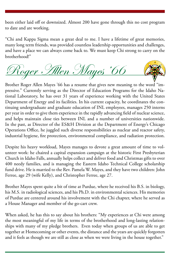been either laid off or downsized. Almost 200 have gone through this no cost program to date and are working.

"Chi and Kappa Sigma mean a great deal to me. I have a lifetime of great memories, many long term friends, was provided countless leadership opportunities and challenges, and have a place we can always come back to. We must keep Chi strong to carry on the brotherhood!"

Roger Allen Mayes '66

Brother Roger Allen Mayes '66 has a resume that gives new meaning to the word "impressive." Currently serving as the Director of Education Programs for the Idaho National Laboratory, he has over 31 years of experience working with the United States Department of Energy and its facilities. In his current capacity, he coordinates the continuing undergraduate and graduate education of INL employees, manages 250 interns per year in order to give them experience in the rapidly advancing field of nuclear science, and helps maintain close ties between INL and a number of universities nationwide. In the past, as Director of the ES&H Division at the Department of Energy's Chicago Operations Office, he juggled such diverse responsibilities as nuclear and reactor safety, industrial hygiene, fire protection, environmental compliance, and radiation protection.

Despite his heavy workload, Mayes manages to devote a great amount of time to volunteer work: he chaired a capital expansion campaign at the historic First Presbyterian Church in Idaho Falls, annually helps collect and deliver food and Christmas gifts to over 400 needy families, and is managing the Eastern Idaho Technical College scholarship fund drive. He is married to the Rev. Pamela W. Mayes, and they have two children: John Ferree, age 29 (wife Kelly), and Christopher Ferree, age 27.

Brother Mayes spent quite a bit of time at Purdue, where he received his B.S. in biology, his M.S. in radiological sciences, and his Ph.D. in environmental sciences. His memories of Purdue are centered around his involvement with the Chi chapter, where he served as a House Manager and member of the go-cart crew.

When asked, he has this to say about his brothers: "My experiences at Chi were among the most meaningful of my life in terms of the brotherhood and long-lasting relationships with many of my pledge brothers. Even today when groups of us are able to get together at Homecoming or other events, the distance and the years are quickly forgotten and it feels as though we are still as close as when we were living in the house together."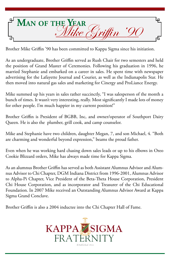

Brother Mike Griffin '90 has been committed to Kappa Sigma since his initiation.

As an undergraduate, Brother Griffin served as Rush Chair for two semesters and held the position of Grand Master of Ceremonies. Following his graduation in 1996, he married Stephanie and embarked on a career in sales. He spent time with newspaper advertising for the Lafayette Journal and Courier, as well as the Indianapolis Star. He then moved into natural gas sales and marketing for Cinergy and ProLiance Energy.

Mike summed up his years in sales rather succinctly, "I was salesperson of the month a bunch of times. It wasn't very interesting, really. Most significantly I made lots of money for other people. I'm much happier in my current position!"

Brother Griffin is President of BGBB, Inc, and owner/operator of Southport Dairy Queen. He is also the plumber, grill cook, and camp counselor.

Mike and Stephanie have two children, daughter Megan, 7, and son Michael, 4. "Both are charming and wonderful beyond expression," beams the proud father.

Even when he was working hard chasing down sales leads or up to his elbows in Oreo Cookie Blizzard orders, Mike has always made time for Kappa Sigma.

As an alumnus Brother Griffin has served as both Assistant Alumnus Advisor and Alumnus Advisor to Chi Chapter, DGM Indiana District from 1996-2001, Alumnus Advisor to Alpha-Pi Chapter, Vice President of the Beta-Theta House Corporation, President Chi House Corporation, and as incorporator and Treasurer of the Chi Educational Foundation. In 2007 Mike received an Outstanding Alumnus Advisor Award at Kappa Sigma Grand Conclave.

Brother Griffin is also a 2004 inductee into the Chi Chapter Hall of Fame.

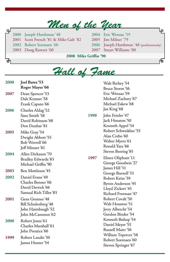## *Men of the Year*

௶ Joseph Harshman '48 Scott French '81 & Mike Galt '82 Robert Sorensen '60 Doug Kowert '60

đ

Lр Eric Wenaas '59 Jim Milner '79 Joseph Harshman '48 (posthumously) Stuart Williams '00

市

**2008 Mike Griffin '90**

|              |                                                                                                         | Hall of Fame |                                                                                                                                                                                                                                                                                                                                                                 |  |
|--------------|---------------------------------------------------------------------------------------------------------|--------------|-----------------------------------------------------------------------------------------------------------------------------------------------------------------------------------------------------------------------------------------------------------------------------------------------------------------------------------------------------------------|--|
| 2008<br>2007 | Joel Bates'53<br>Roger Mayes'66<br>Dean Spencer'53<br>Dale Kramer'58                                    |              | Walt Richey'54<br>Bruce Storm '56<br>Eric Wenaas'59<br>Michael Zachary '67                                                                                                                                                                                                                                                                                      |  |
| 2006         | Frank Caputo'66<br>Charles Aldag'52<br>Sam Smith '58<br>David Robinson'68<br>Don Dunbar'81              | 1998         | Michael Eskew'68<br>Jan King'68<br>John Feinler '47<br>Jack Houston '50<br>Kenneth Appel'54<br>Robert Schweikher'55<br>Alan Crebo'60<br>Walter Myers'61<br>Ronald Yara'66<br>Steven Beering'85<br>Elmer Oliphant'11<br>George Goodwin'27<br>James Hill'31<br>George Burnell'33<br>Robert Keim'39<br>Byron Anderson'45<br>Lloyd Zickert'45<br>Richard Freeman'47 |  |
| 2005         | Mike Gray'54<br>Dwight Abbott'55<br>Bob Worrell'66<br>Jeff Minner'81                                    |              |                                                                                                                                                                                                                                                                                                                                                                 |  |
| 2004         | Allen Dickason '70<br><b>Bradley Edwards</b> '83<br>Michael Griffin '90                                 | 1997         |                                                                                                                                                                                                                                                                                                                                                                 |  |
| 2003<br>2002 | Ben Mottleson '45<br>Daniel Evans '49<br>Charles Benner'66<br>David Derrick'66<br>Samual Rich Tiller'83 |              |                                                                                                                                                                                                                                                                                                                                                                 |  |
| 2001         | Gene Grotnes'48<br>Bill Schulenberg'48<br>John Haimbaugh'52<br>John McCammon'62                         |              | Robert Covalt'50<br>Walt Houston '51<br>Jerry Albrecht'54<br>Gordon Binder'54                                                                                                                                                                                                                                                                                   |  |
| 2000         | Robert Jones'61<br>Charles Marshall'61<br>John Prentice'66                                              |              | Kenneth Bishop'54<br>Daniel Meyer'55<br>Russell Maier '56                                                                                                                                                                                                                                                                                                       |  |
| 1999         | Robert Landis'30<br>James Hunter'54                                                                     |              | William Topercer'58<br>Robert Sorensen'60<br>Steven Springer'67                                                                                                                                                                                                                                                                                                 |  |